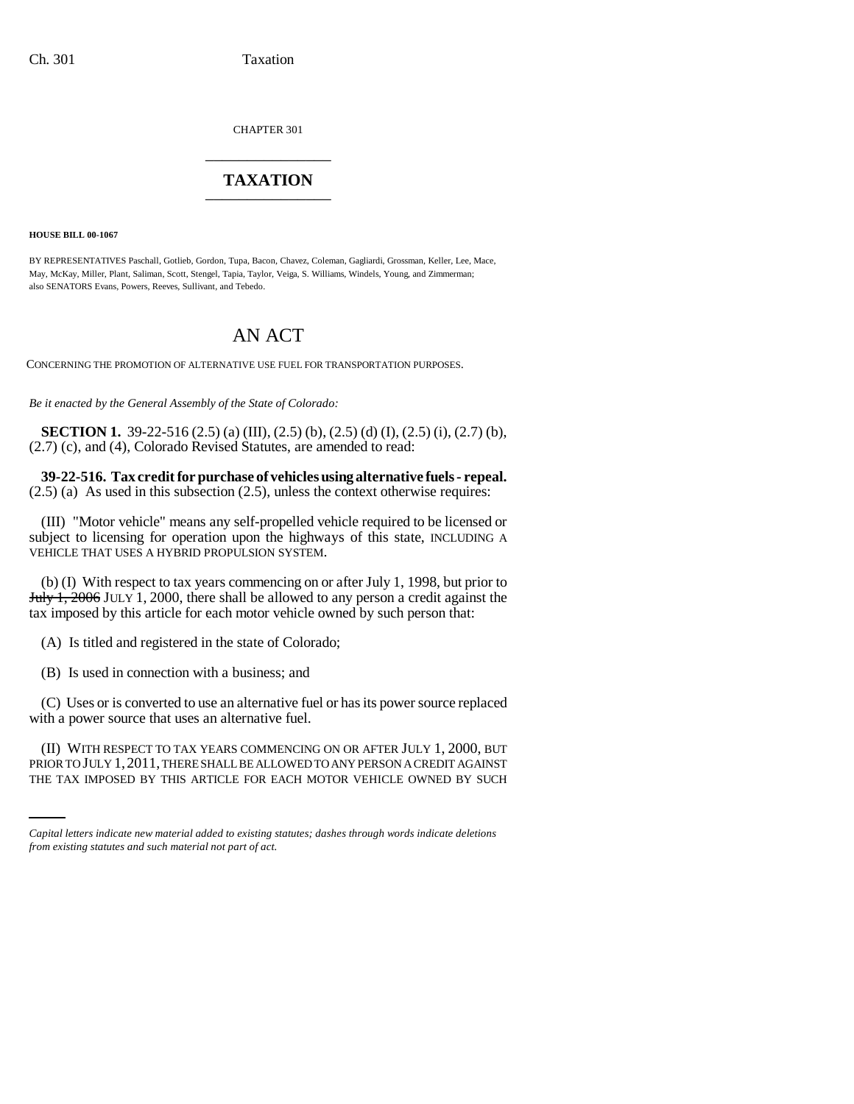CHAPTER 301 \_\_\_\_\_\_\_\_\_\_\_\_\_\_\_

## **TAXATION** \_\_\_\_\_\_\_\_\_\_\_\_\_\_\_

**HOUSE BILL 00-1067** 

BY REPRESENTATIVES Paschall, Gotlieb, Gordon, Tupa, Bacon, Chavez, Coleman, Gagliardi, Grossman, Keller, Lee, Mace, May, McKay, Miller, Plant, Saliman, Scott, Stengel, Tapia, Taylor, Veiga, S. Williams, Windels, Young, and Zimmerman; also SENATORS Evans, Powers, Reeves, Sullivant, and Tebedo.

# AN ACT

CONCERNING THE PROMOTION OF ALTERNATIVE USE FUEL FOR TRANSPORTATION PURPOSES.

*Be it enacted by the General Assembly of the State of Colorado:*

**SECTION 1.** 39-22-516 (2.5) (a) (III), (2.5) (b), (2.5) (d) (I), (2.5) (i), (2.7) (b), (2.7) (c), and (4), Colorado Revised Statutes, are amended to read:

**39-22-516. Tax credit for purchase of vehicles using alternative fuels - repeal.**  $(2.5)$  (a) As used in this subsection  $(2.5)$ , unless the context otherwise requires:

(III) "Motor vehicle" means any self-propelled vehicle required to be licensed or subject to licensing for operation upon the highways of this state, INCLUDING A VEHICLE THAT USES A HYBRID PROPULSION SYSTEM.

(b) (I) With respect to tax years commencing on or after July 1, 1998, but prior to July 1, 2006 JULY 1, 2000, there shall be allowed to any person a credit against the tax imposed by this article for each motor vehicle owned by such person that:

(A) Is titled and registered in the state of Colorado;

(B) Is used in connection with a business; and

(C) Uses or is converted to use an alternative fuel or has its power source replaced with a power source that uses an alternative fuel.

(II) WITH RESPECT TO TAX YEARS COMMENCING ON OR AFTER JULY 1, 2000, BUT PRIOR TO JULY 1,2011, THERE SHALL BE ALLOWED TO ANY PERSON A CREDIT AGAINST THE TAX IMPOSED BY THIS ARTICLE FOR EACH MOTOR VEHICLE OWNED BY SUCH

*Capital letters indicate new material added to existing statutes; dashes through words indicate deletions from existing statutes and such material not part of act.*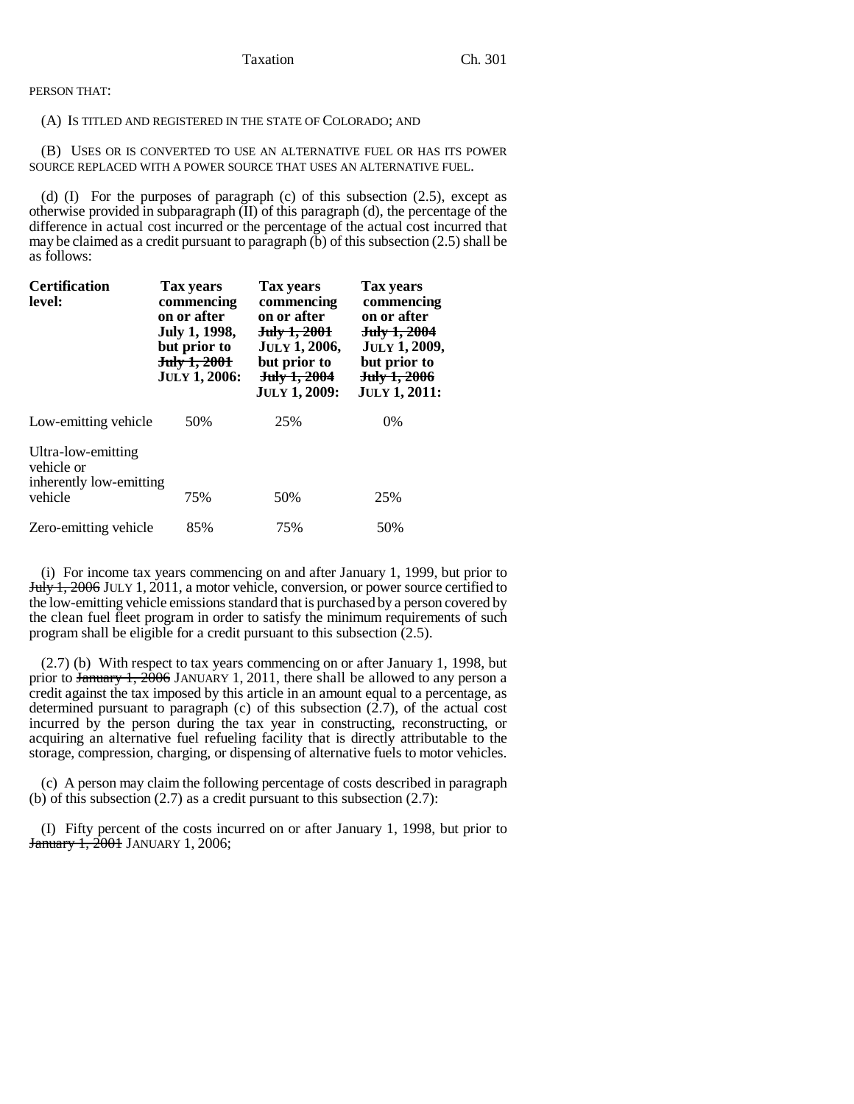PERSON THAT:

#### (A) IS TITLED AND REGISTERED IN THE STATE OF COLORADO; AND

(B) USES OR IS CONVERTED TO USE AN ALTERNATIVE FUEL OR HAS ITS POWER SOURCE REPLACED WITH A POWER SOURCE THAT USES AN ALTERNATIVE FUEL.

(d)  $(I)$  For the purposes of paragraph  $(c)$  of this subsection  $(2.5)$ , except as otherwise provided in subparagraph (II) of this paragraph (d), the percentage of the difference in actual cost incurred or the percentage of the actual cost incurred that may be claimed as a credit pursuant to paragraph (b) of this subsection (2.5) shall be as follows:

| <b>Certification</b><br>level:                                         | Tax years<br>commencing<br>on or after<br>July 1, 1998,<br>but prior to<br>July 1, 2001<br><b>JULY 1, 2006:</b> | Tax years<br>commencing<br>on or after<br><del>July 1, 2001</del><br><b>JULY 1, 2006,</b><br>but prior to<br>July 1, 2004<br><b>JULY 1, 2009:</b> | Tax years<br>commencing<br>on or after<br>July 1, 2004<br><b>JULY 1, 2009,</b><br>but prior to<br>July 1, 2006<br><b>JULY 1, 2011:</b> |
|------------------------------------------------------------------------|-----------------------------------------------------------------------------------------------------------------|---------------------------------------------------------------------------------------------------------------------------------------------------|----------------------------------------------------------------------------------------------------------------------------------------|
| Low-emitting vehicle                                                   | 50%                                                                                                             | 25%                                                                                                                                               | $0\%$                                                                                                                                  |
| Ultra-low-emitting<br>vehicle or<br>inherently low-emitting<br>vehicle | 75%                                                                                                             | 50%                                                                                                                                               | 25%                                                                                                                                    |
| Zero-emitting vehicle                                                  | 85%                                                                                                             | 75%                                                                                                                                               | 50%                                                                                                                                    |

(i) For income tax years commencing on and after January 1, 1999, but prior to July 1, 2006 JULY 1, 2011, a motor vehicle, conversion, or power source certified to the low-emitting vehicle emissions standard that is purchased by a person covered by the clean fuel fleet program in order to satisfy the minimum requirements of such program shall be eligible for a credit pursuant to this subsection (2.5).

(2.7) (b) With respect to tax years commencing on or after January 1, 1998, but prior to  $\frac{1}{2006}$  JANUARY 1, 2011, there shall be allowed to any person a credit against the tax imposed by this article in an amount equal to a percentage, as determined pursuant to paragraph (c) of this subsection  $(2.7)$ , of the actual cost incurred by the person during the tax year in constructing, reconstructing, or acquiring an alternative fuel refueling facility that is directly attributable to the storage, compression, charging, or dispensing of alternative fuels to motor vehicles.

(c) A person may claim the following percentage of costs described in paragraph (b) of this subsection (2.7) as a credit pursuant to this subsection (2.7):

(I) Fifty percent of the costs incurred on or after January 1, 1998, but prior to **January 1, 2001 JANUARY 1, 2006;**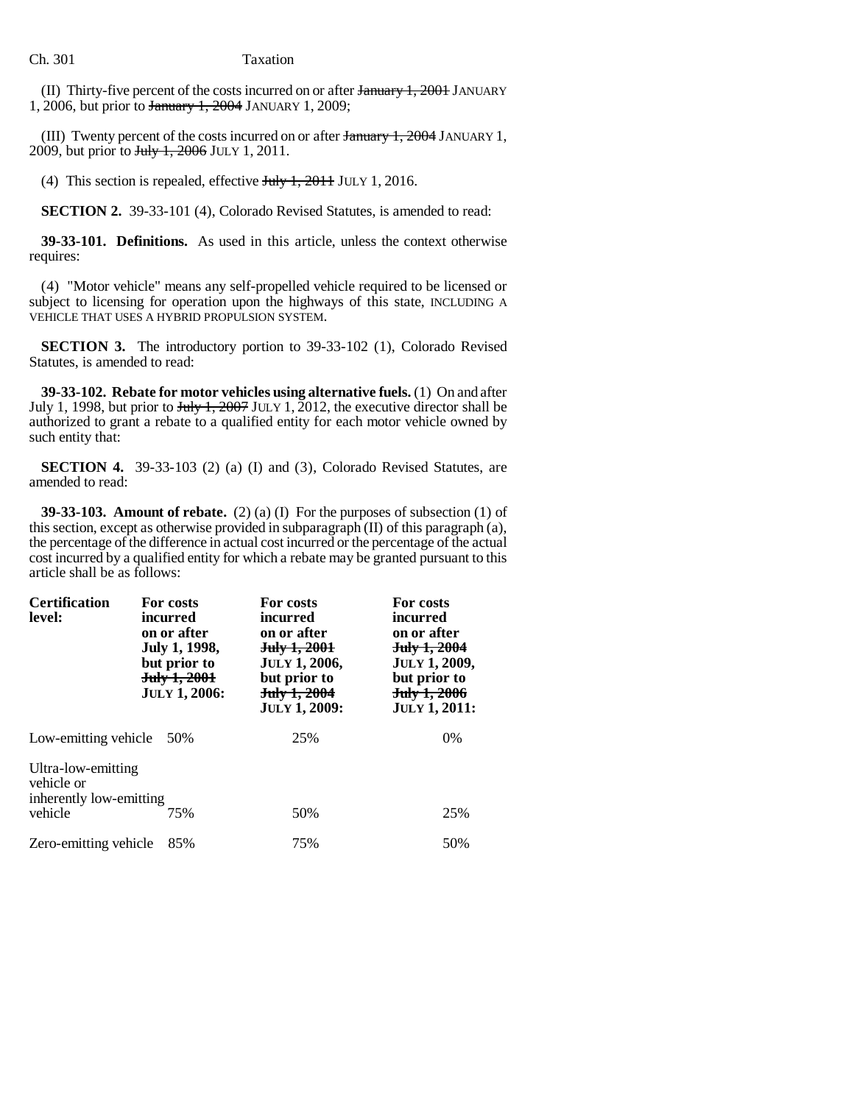### Ch. 301 Taxation

(II) Thirty-five percent of the costs incurred on or after  $\frac{1}{200}$  + JANUARY 1, 2006, but prior to January 1, 2004 JANUARY 1, 2009;

(III) Twenty percent of the costs incurred on or after January 1, 2004 JANUARY 1, 2009, but prior to July 1, 2006 JULY 1, 2011.

(4) This section is repealed, effective  $J_{\text{t}}/J_{\text{t}}$ , 2011 JULY 1, 2016.

**SECTION 2.** 39-33-101 (4), Colorado Revised Statutes, is amended to read:

**39-33-101. Definitions.** As used in this article, unless the context otherwise requires:

(4) "Motor vehicle" means any self-propelled vehicle required to be licensed or subject to licensing for operation upon the highways of this state, INCLUDING A VEHICLE THAT USES A HYBRID PROPULSION SYSTEM.

**SECTION 3.** The introductory portion to 39-33-102 (1), Colorado Revised Statutes, is amended to read:

**39-33-102. Rebate for motor vehicles using alternative fuels.** (1) On and after July 1, 1998, but prior to  $\frac{\text{July }1, 2007}{\text{ JULY}}$  1, 2012, the executive director shall be authorized to grant a rebate to a qualified entity for each motor vehicle owned by such entity that:

**SECTION 4.** 39-33-103 (2) (a) (I) and (3), Colorado Revised Statutes, are amended to read:

**39-33-103. Amount of rebate.** (2) (a) (I) For the purposes of subsection (1) of this section, except as otherwise provided in subparagraph (II) of this paragraph (a), the percentage of the difference in actual cost incurred or the percentage of the actual cost incurred by a qualified entity for which a rebate may be granted pursuant to this article shall be as follows:

| <b>Certification</b><br>level:                                         | For costs<br>incurred<br>on or after<br>July 1, 1998,<br>but prior to<br><del>July 1, 2001</del><br><b>JULY 1, 2006:</b> | For costs<br>incurred<br>on or after<br>July 1, 2001<br><b>JULY 1, 2006,</b><br>but prior to<br>July 1, 2004<br><b>JULY 1, 2009:</b> | For costs<br>incurred<br>on or after<br>July 1, 2004<br><b>JULY 1, 2009,</b><br>but prior to<br>July 1, 2006<br><b>JULY 1, 2011:</b> |
|------------------------------------------------------------------------|--------------------------------------------------------------------------------------------------------------------------|--------------------------------------------------------------------------------------------------------------------------------------|--------------------------------------------------------------------------------------------------------------------------------------|
| Low-emitting vehicle 50%                                               |                                                                                                                          | 25%                                                                                                                                  | 0%                                                                                                                                   |
| Ultra-low-emitting<br>vehicle or<br>inherently low-emitting<br>vehicle | 75%                                                                                                                      | 50%                                                                                                                                  | 25%                                                                                                                                  |
| Zero-emitting vehicle                                                  | 85%                                                                                                                      | 75%                                                                                                                                  | 50%                                                                                                                                  |